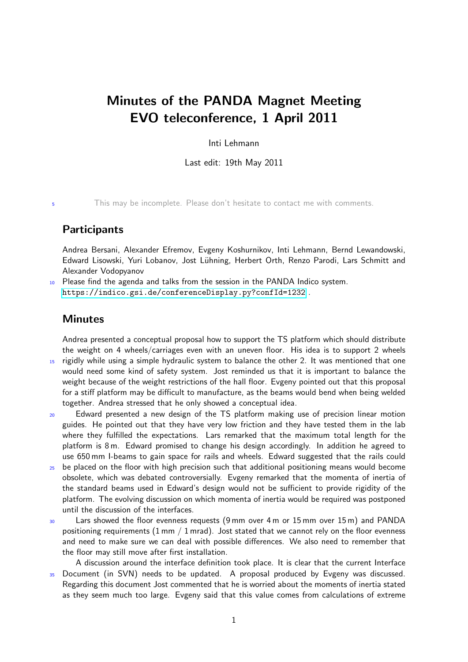## Minutes of the PANDA Magnet Meeting EVO teleconference, 1 April 2011

Inti Lehmann

Last edit: 19th May 2011

<sup>5</sup> This may be incomplete. Please don't hesitate to contact me with comments.

## **Participants**

Andrea Bersani, Alexander Efremov, Evgeny Koshurnikov, Inti Lehmann, Bernd Lewandowski, Edward Lisowski, Yuri Lobanov, Jost Lühning, Herbert Orth, Renzo Parodi, Lars Schmitt and Alexander Vodopyanov

Please find the agenda and talks from the session in the PANDA Indico system. <https://indico.gsi.de/conferenceDisplay.py?confId=1232> .

## **Minutes**

Andrea presented a conceptual proposal how to support the TS platform which should distribute the weight on 4 wheels/carriages even with an uneven floor. His idea is to support 2 wheels 15 rigidly while using a simple hydraulic system to balance the other 2. It was mentioned that one

- would need some kind of safety system. Jost reminded us that it is important to balance the weight because of the weight restrictions of the hall floor. Evgeny pointed out that this proposal for a stiff platform may be difficult to manufacture, as the beams would bend when being welded together. Andrea stressed that he only showed a conceptual idea.
- <sup>20</sup> Edward presented a new design of the TS platform making use of precision linear motion guides. He pointed out that they have very low friction and they have tested them in the lab where they fulfilled the expectations. Lars remarked that the maximum total length for the platform is 8 m. Edward promised to change his design accordingly. In addition he agreed to use 650 mm I-beams to gain space for rails and wheels. Edward suggested that the rails could
- <sup>25</sup> be placed on the floor with high precision such that additional positioning means would become obsolete, which was debated controversially. Evgeny remarked that the momenta of inertia of the standard beams used in Edward's design would not be sufficient to provide rigidity of the platform. The evolving discussion on which momenta of inertia would be required was postponed until the discussion of the interfaces.
- <sup>30</sup> Lars showed the floor evenness requests (9 mm over 4 m or 15 mm over 15 m) and PANDA positioning requirements  $(1 \text{ mm } / 1 \text{ mrad})$ . Jost stated that we cannot rely on the floor evenness and need to make sure we can deal with possible differences. We also need to remember that the floor may still move after first installation.

A discussion around the interface definition took place. It is clear that the current Interface 35 Document (in SVN) needs to be updated. A proposal produced by Evgeny was discussed. Regarding this document Jost commented that he is worried about the moments of inertia stated as they seem much too large. Evgeny said that this value comes from calculations of extreme